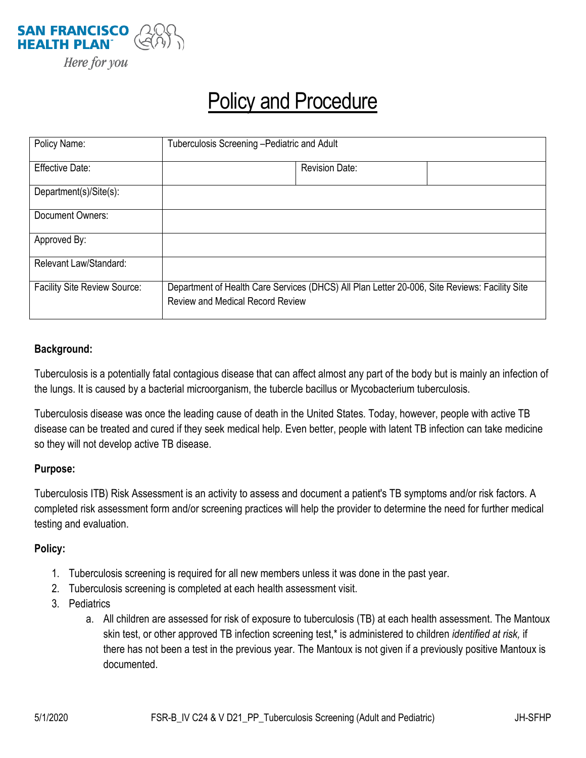

# Policy and Procedure

| Policy Name:                        | Tuberculosis Screening - Pediatric and Adult                                                                                             |                       |  |
|-------------------------------------|------------------------------------------------------------------------------------------------------------------------------------------|-----------------------|--|
| <b>Effective Date:</b>              |                                                                                                                                          | <b>Revision Date:</b> |  |
| Department(s)/Site(s):              |                                                                                                                                          |                       |  |
| Document Owners:                    |                                                                                                                                          |                       |  |
| Approved By:                        |                                                                                                                                          |                       |  |
| Relevant Law/Standard:              |                                                                                                                                          |                       |  |
| <b>Facility Site Review Source:</b> | Department of Health Care Services (DHCS) All Plan Letter 20-006, Site Reviews: Facility Site<br><b>Review and Medical Record Review</b> |                       |  |

#### **Background:**

Tuberculosis is a potentially fatal contagious disease that can affect almost any part of the body but is mainly an infection of the lungs. It is caused by a bacterial microorganism, the tubercle bacillus or Mycobacterium tuberculosis.

Tuberculosis disease was once the leading cause of death in the United States. Today, however, people with active TB disease can be treated and cured if they seek medical help. Even better, people with latent TB infection can take medicine so they will not develop active TB disease.

#### **Purpose:**

Tuberculosis ITB) Risk Assessment is an activity to assess and document a patient's TB symptoms and/or risk factors. A completed risk assessment form and/or screening practices will help the provider to determine the need for further medical testing and evaluation.

#### **Policy:**

- 1. Tuberculosis screening is required for all new members unless it was done in the past year.
- 2. Tuberculosis screening is completed at each health assessment visit.
- 3. Pediatrics
	- a. All children are assessed for risk of exposure to tuberculosis (TB) at each health assessment. The Mantoux skin test, or other approved TB infection screening test,\* is administered to children *identified at risk,* if there has not been a test in the previous year. The Mantoux is not given if a previously positive Mantoux is documented.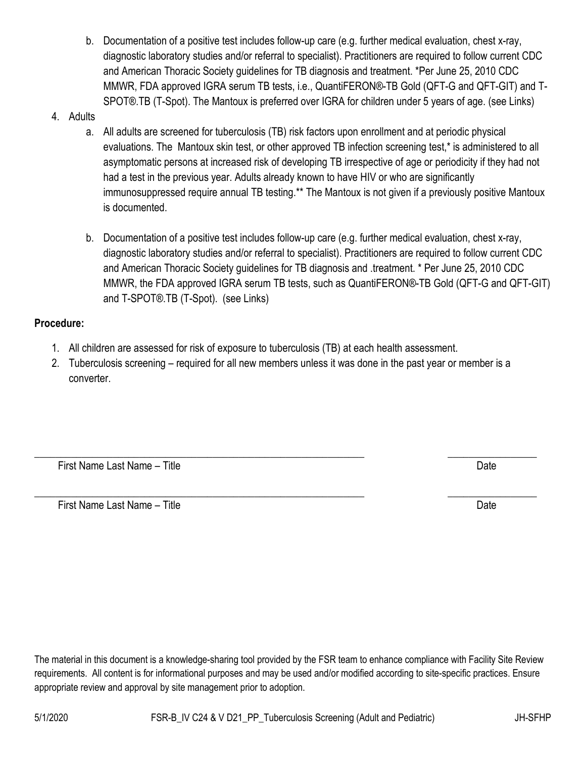b. Documentation of a positive test includes follow-up care (e.g. further medical evaluation, chest x-ray, diagnostic laboratory studies and/or referral to specialist). Practitioners are required to follow current CDC and American Thoracic Society guidelines for TB diagnosis and treatment. \*Per June 25, 2010 CDC MMWR, FDA approved IGRA serum TB tests, i.e., QuantiFERON®-TB Gold (QFT-G and QFT-GIT) and T-SPOT®.TB (T-Spot). The Mantoux is preferred over IGRA for children under 5 years of age. (see Links)

## 4. Adults

- a. All adults are screened for tuberculosis (TB) risk factors upon enrollment and at periodic physical evaluations. The Mantoux skin test, or other approved TB infection screening test,\* is administered to all asymptomatic persons at increased risk of developing TB irrespective of age or periodicity if they had not had a test in the previous year. Adults already known to have HIV or who are significantly immunosuppressed require annual TB testing.<sup>\*\*</sup> The Mantoux is not given if a previously positive Mantoux is documented.
- b. Documentation of a positive test includes follow-up care (e.g. further medical evaluation, chest x-ray, diagnostic laboratory studies and/or referral to specialist). Practitioners are required to follow current CDC and American Thoracic Society guidelines for TB diagnosis and .treatment. \* Per June 25, 2010 CDC MMWR, the FDA approved IGRA serum TB tests, such as QuantiFERON®-TB Gold (QFT-G and QFT-GIT) and T-SPOT®.TB (T-Spot). (see Links)

## **Procedure:**

- 1. All children are assessed for risk of exposure to tuberculosis (TB) at each health assessment.
- 2. Tuberculosis screening required for all new members unless it was done in the past year or member is a converter.

\_\_\_\_\_\_\_\_\_\_\_\_\_\_\_\_\_\_\_\_\_\_\_\_\_\_\_\_\_\_\_\_\_\_\_\_\_\_\_\_\_\_\_\_\_\_\_\_\_\_\_\_\_\_\_\_\_\_\_\_\_\_\_ \_\_\_\_\_\_\_\_\_\_\_\_\_\_\_\_\_ First Name Last Name – Title Date Controller Controller Controller Controller Controller Controller Controller

\_\_\_\_\_\_\_\_\_\_\_\_\_\_\_\_\_\_\_\_\_\_\_\_\_\_\_\_\_\_\_\_\_\_\_\_\_\_\_\_\_\_\_\_\_\_\_\_\_\_\_\_\_\_\_\_\_\_\_\_\_\_\_ \_\_\_\_\_\_\_\_\_\_\_\_\_\_\_\_\_ First Name Last Name – Title **Date Community Community Community** Date Date Date

The material in this document is a knowledge-sharing tool provided by the FSR team to enhance compliance with Facility Site Review requirements. All content is for informational purposes and may be used and/or modified according to site-specific practices. Ensure appropriate review and approval by site management prior to adoption.